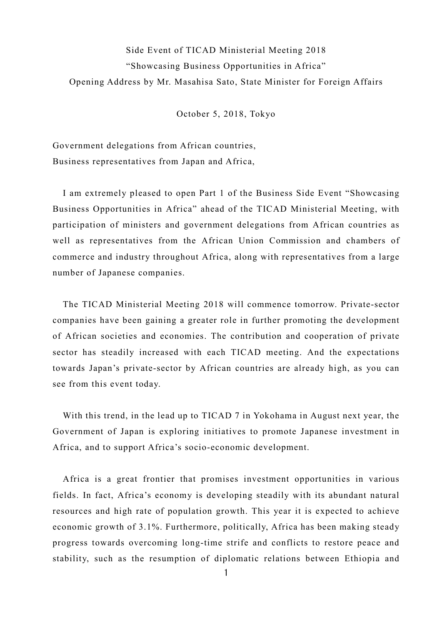## Side Event of TICAD Ministerial Meeting 2018 "Showcasing Business Opportunities in Africa" Opening Address by Mr. Masahisa Sato, State Minister for Foreign Affairs

October 5, 2018, Tokyo

Government delegations from African countries, Business representatives from Japan and Africa,

I am extremely pleased to open Part 1 of the Business Side Event "Showcasing Business Opportunities in Africa" ahead of the TICAD Ministerial Meeting, with participation of ministers and government delegations from African countries as well as representatives from the African Union Commission and chambers of commerce and industry throughout Africa, along with representatives from a large number of Japanese companies.

The TICAD Ministerial Meeting 2018 will commence tomorrow. Private-sector companies have been gaining a greater role in further promoting the development of African societies and economies. The contribution and cooperation of private sector has steadily increased with each TICAD meeting. And the expectations towards Japan's private-sector by African countries are already high, as you can see from this event today.

With this trend, in the lead up to TICAD 7 in Yokohama in August next year, the Government of Japan is exploring initiatives to promote Japanese investment in Africa, and to support Africa's socio-economic development.

Africa is a great frontier that promises investment opportunities in various fields. In fact, Africa's economy is developing steadily with its abundant natural resources and high rate of population growth. This year it is expected to achieve economic growth of 3.1%. Furthermore, politically, Africa has been making steady progress towards overcoming long-time strife and conflicts to restore peace and stability, such as the resumption of diplomatic relations between Ethiopia and